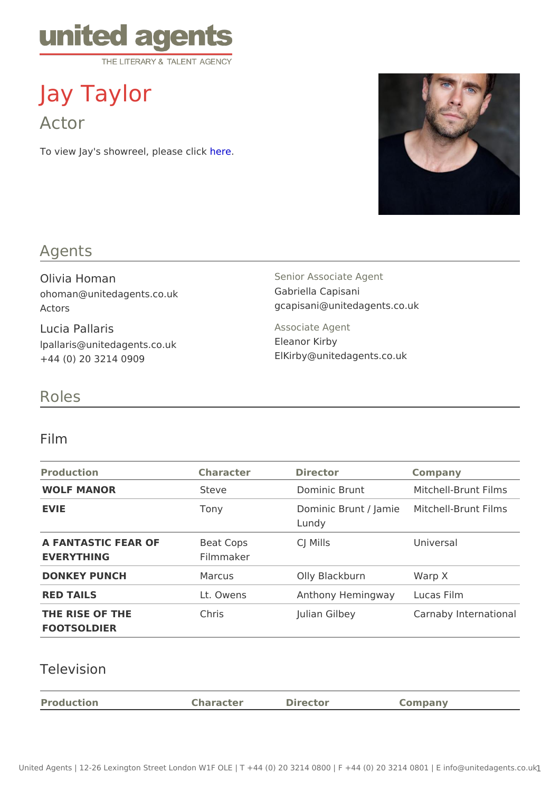# Jay Taylor

Actor

To view Jay's showreel, phease click

## Agents

Olivia Homan ohoman@unitedagents.co.uk Actors

Lucia Pallaris lpallaris@unitedagents.co.uk +44 (0) 20 3214 0909

Senior Associate Agent Gabriella Capisani gcapisani@unitedagents.co.uk

Associate Agent Eleanor Kirby ElKirby@unitedagents.co.uk

#### Roles

#### Film

| Production                                  | Character | Director                                         | Company               |  |
|---------------------------------------------|-----------|--------------------------------------------------|-----------------------|--|
| WOLF MANOR                                  | Steve     | Dominic Brunt                                    | Mitchell-Brunt Films  |  |
| EVIE                                        | Tony      | Dominic Brunt / Jaminichell-Brunt Films<br>Lundy |                       |  |
| A FANTASTIC FEAR OF Beat Cops<br>EVERYTHING | Filmmaker | CJ Mills                                         | Universal             |  |
| DONKEY PUNCH                                | Marcus    | Olly Blackburn                                   | Warp X                |  |
| RED TAILS                                   | Lt. Owens | Anthony Hemingwaycas Film                        |                       |  |
| THE RISE OF THE<br>FOOTSOLDIER              | Chris     | Julian Gilbey                                    | Carnaby International |  |

## Television

| Production | Character | Director | $\cap$ nnnan $\vee$ |
|------------|-----------|----------|---------------------|
|            |           |          |                     |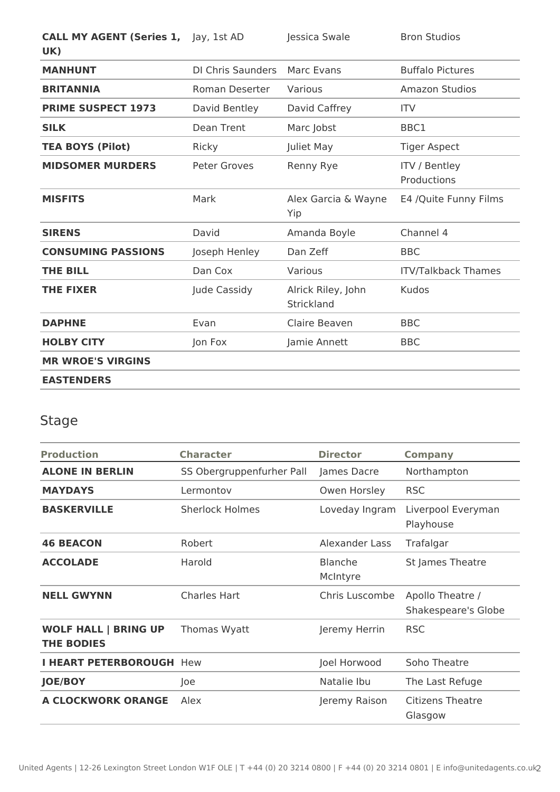| <b>CALL MY AGENT (Series 1, Jay, 1st AD</b><br>UK) |                          | Jessica Swale                    | <b>Bron Studios</b>                 |
|----------------------------------------------------|--------------------------|----------------------------------|-------------------------------------|
| <b>MANHUNT</b>                                     | <b>DI Chris Saunders</b> | Marc Evans                       | <b>Buffalo Pictures</b>             |
| <b>BRITANNIA</b>                                   | Roman Deserter           | Various                          | Amazon Studios                      |
| <b>PRIME SUSPECT 1973</b>                          | David Bentley            | David Caffrey                    | <b>ITV</b>                          |
| <b>SILK</b>                                        | <b>Dean Trent</b>        | Marc Jobst                       | BBC1                                |
| <b>TEA BOYS (Pilot)</b>                            | Ricky                    | Juliet May                       | <b>Tiger Aspect</b>                 |
| <b>MIDSOMER MURDERS</b>                            | <b>Peter Groves</b>      | Renny Rye                        | <b>ITV / Bentley</b><br>Productions |
| <b>MISFITS</b>                                     | Mark                     | Alex Garcia & Wayne<br>Yip       | E4 /Quite Funny Films               |
| <b>SIRENS</b>                                      | David                    | Amanda Boyle                     | Channel 4                           |
| <b>CONSUMING PASSIONS</b>                          | Joseph Henley            | Dan Zeff                         | <b>BBC</b>                          |
| <b>THE BILL</b>                                    | Dan Cox                  | Various                          | <b>ITV/Talkback Thames</b>          |
| <b>THE FIXER</b>                                   | Jude Cassidy             | Alrick Riley, John<br>Strickland | <b>Kudos</b>                        |
| <b>DAPHNE</b>                                      | Evan                     | Claire Beaven                    | <b>BBC</b>                          |
| <b>HOLBY CITY</b>                                  | Jon Fox                  | Jamie Annett                     | <b>BBC</b>                          |
| <b>MR WROE'S VIRGINS</b>                           |                          |                                  |                                     |
| <b>EASTENDERS</b>                                  |                          |                                  |                                     |

## Stage

| <b>Production</b>                                | <b>Character</b>          | <b>Director</b>            | <b>Company</b>                          |
|--------------------------------------------------|---------------------------|----------------------------|-----------------------------------------|
| <b>ALONE IN BERLIN</b>                           | SS Obergruppenfurher Pall | James Dacre                | Northampton                             |
| <b>MAYDAYS</b>                                   | Lermontov                 | Owen Horsley               | <b>RSC</b>                              |
| <b>BASKERVILLE</b>                               | <b>Sherlock Holmes</b>    | Loveday Ingram             | Liverpool Everyman<br>Playhouse         |
| <b>46 BEACON</b>                                 | Robert                    | Alexander Lass             | Trafalgar                               |
| <b>ACCOLADE</b>                                  | Harold                    | <b>Blanche</b><br>McIntyre | St James Theatre                        |
| <b>NELL GWYNN</b>                                | <b>Charles Hart</b>       | Chris Luscombe             | Apollo Theatre /<br>Shakespeare's Globe |
| <b>WOLF HALL   BRING UP</b><br><b>THE BODIES</b> | Thomas Wyatt              | Jeremy Herrin              | <b>RSC</b>                              |
| <b>I HEART PETERBOROUGH Hew</b>                  |                           | Joel Horwood               | Soho Theatre                            |
| <b>JOE/BOY</b>                                   | Joe                       | Natalie Ibu                | The Last Refuge                         |
| <b>A CLOCKWORK ORANGE</b>                        | Alex                      | Jeremy Raison              | <b>Citizens Theatre</b><br>Glasgow      |